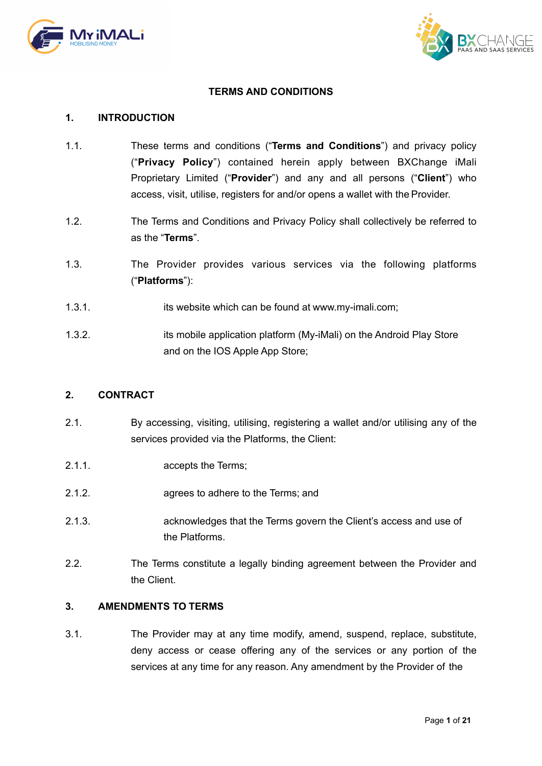



## **TERMS AND CONDITIONS**

#### **1. INTRODUCTION**

- 1.1. These terms and conditions ("**Terms and Conditions**") and privacy policy ("**Privacy Policy**") contained herein apply between BXChange iMali Proprietary Limited ("**Provider**") and any and all persons ("**Client**") who access, visit, utilise, registers for and/or opens a wallet with the Provider.
- 1.2. The Terms and Conditions and Privacy Policy shall collectively be referred to as the "**Terms**".
- 1.3. The Provider provides various services via the following platforms ("**Platforms**"):
- 1.3.1. its website which can be found at www.my-imali.com;
- 1.3.2. its mobile application platform (My-iMali) on the Android Play Store and on the IOS Apple App Store;

#### **2. CONTRACT**

- 2.1. By accessing, visiting, utilising, registering a wallet and/or utilising any of the services provided via the Platforms, the Client:
- 2.1.1. accepts the Terms;
- 2.1.2. agrees to adhere to the Terms; and
- 2.1.3. acknowledges that the Terms govern the Client's access and use of the Platforms.
- 2.2. The Terms constitute a legally binding agreement between the Provider and the Client.

# **3. AMENDMENTS TO TERMS**

3.1. The Provider may at any time modify, amend, suspend, replace, substitute, deny access or cease offering any of the services or any portion of the services at any time for any reason. Any amendment by the Provider of the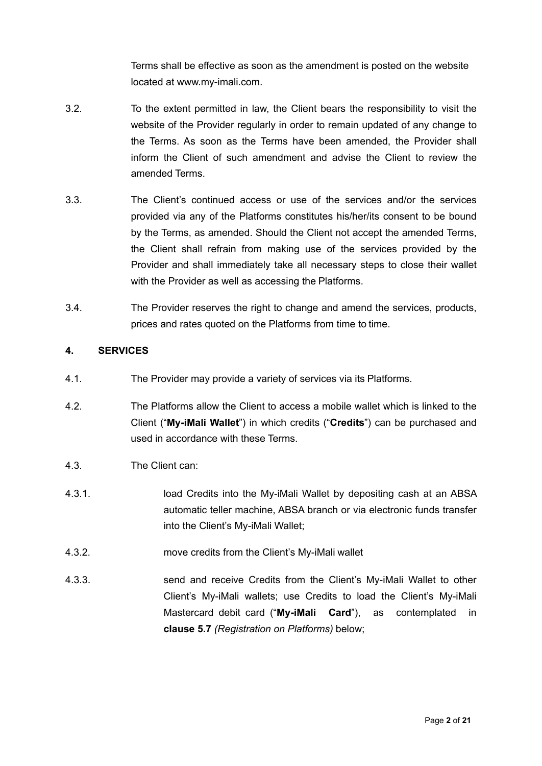Terms shall be effective as soon as the amendment is posted on the website located at [www.my-imali.com.](http://www.my-imali.com/)

- 3.2. To the extent permitted in law, the Client bears the responsibility to visit the website of the Provider regularly in order to remain updated of any change to the Terms. As soon as the Terms have been amended, the Provider shall inform the Client of such amendment and advise the Client to review the amended Terms.
- 3.3. The Client's continued access or use of the services and/or the services provided via any of the Platforms constitutes his/her/its consent to be bound by the Terms, as amended. Should the Client not accept the amended Terms, the Client shall refrain from making use of the services provided by the Provider and shall immediately take all necessary steps to close their wallet with the Provider as well as accessing the Platforms.
- 3.4. The Provider reserves the right to change and amend the services, products, prices and rates quoted on the Platforms from time to time.

# **4. SERVICES**

- 4.1. The Provider may provide a variety of services via its Platforms.
- 4.2. The Platforms allow the Client to access a mobile wallet which is linked to the Client ("**My-iMali Wallet**") in which credits ("**Credits**") can be purchased and used in accordance with these Terms.
- <span id="page-1-0"></span>4.3. The Client can:
- 4.3.1. load Credits into the My-iMali Wallet by depositing cash at an ABSA automatic teller machine, ABSA branch or via electronic funds transfer into the Client's My-iMali Wallet;
- 4.3.2. move credits from the Client's My-iMali wallet
- 4.3.3. send and receive Credits from the Client's My-iMali Wallet to other Client's My-iMali wallets; use Credits to load the Client's My-iMali Mastercard debit card ("**My-iMali Card**"), as contemplated in **clause [5.7](#page-3-0)** *(Registration on Platforms)* below;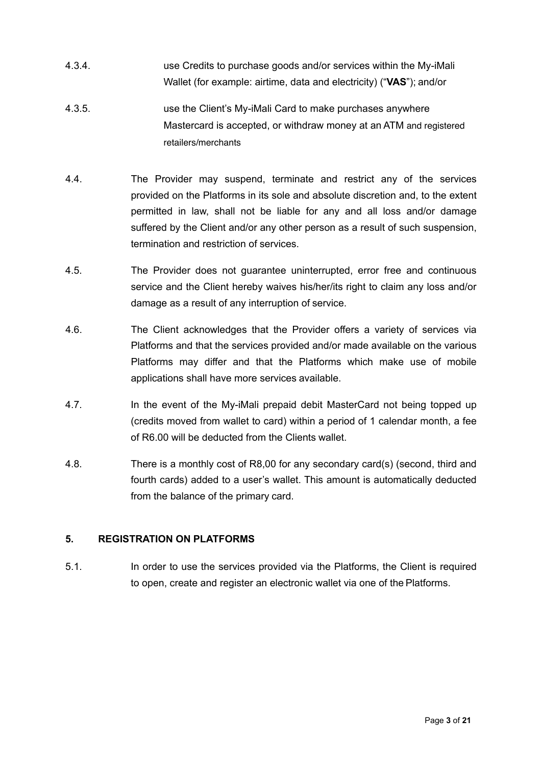- 4.3.4. use Credits to purchase goods and/or services within the My-iMali Wallet (for example: airtime, data and electricity) ("**VAS**"); and/or
- 4.3.5. use the Client's My-iMali Card to make purchases anywhere Mastercard is accepted, or withdraw money at an ATM and registered retailers/merchants
- 4.4. The Provider may suspend, terminate and restrict any of the services provided on the Platforms in its sole and absolute discretion and, to the extent permitted in law, shall not be liable for any and all loss and/or damage suffered by the Client and/or any other person as a result of such suspension, termination and restriction of services.
- 4.5. The Provider does not guarantee uninterrupted, error free and continuous service and the Client hereby waives his/her/its right to claim any loss and/or damage as a result of any interruption of service.
- 4.6. The Client acknowledges that the Provider offers a variety of services via Platforms and that the services provided and/or made available on the various Platforms may differ and that the Platforms which make use of mobile applications shall have more services available.
- 4.7. In the event of the My-iMali prepaid debit MasterCard not being topped up (credits moved from wallet to card) within a period of 1 calendar month, a fee of R6.00 will be deducted from the Clients wallet.
- 4.8. There is a monthly cost of R8,00 for any secondary card(s) (second, third and fourth cards) added to a user's wallet. This amount is automatically deducted from the balance of the primary card.

# **5. REGISTRATION ON PLATFORMS**

5.1. In order to use the services provided via the Platforms, the Client is required to open, create and register an electronic wallet via one of the Platforms.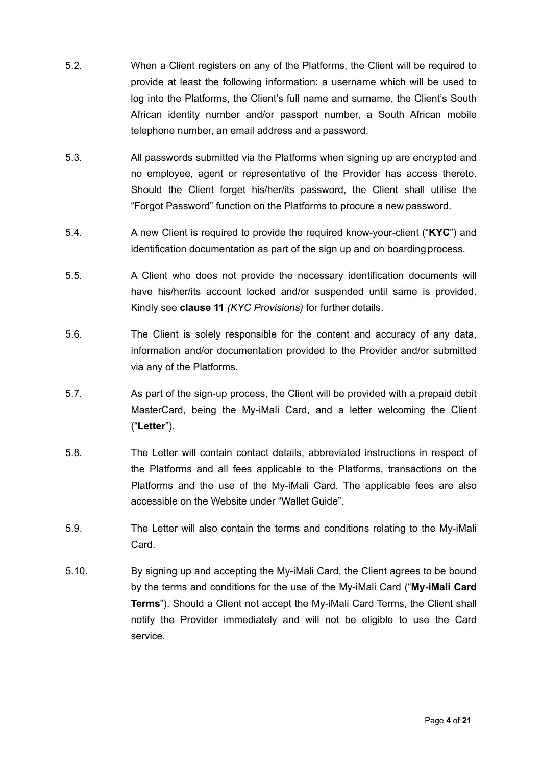- 5.2. When a Client registers on any of the Platforms, the Client will be required to provide at least the following information: a username which will be used to log into the Platforms, the Client's full name and surname, the Client's South African identity number and/or passport number, a South African mobile telephone number, an email address and a password.
- 5.3. All passwords submitted via the Platforms when signing up are encrypted and no employee, agent or representative of the Provider has access thereto. Should the Client forget his/her/its password, the Client shall utilise the "Forgot Password" function on the Platforms to procure a new password.
- 5.4. A new Client is required to provide the required know-your-client ("**KYC**") and identification documentation as part of the sign up and on boarding process.
- 5.5. A Client who does not provide the necessary identification documents will have his/her/its account locked and/or suspended until same is provided. Kindly see **clause [11](#page-10-0)** *(KYC Provisions)* for further details.
- 5.6. The Client is solely responsible for the content and accuracy of any data, information and/or documentation provided to the Provider and/or submitted via any of the Platforms.
- <span id="page-3-0"></span>5.7. As part of the sign-up process, the Client will be provided with a prepaid debit MasterCard, being the My-iMali Card, and a letter welcoming the Client ("**Letter**").
- 5.8. The Letter will contain contact details, abbreviated instructions in respect of the Platforms and all fees applicable to the Platforms, transactions on the Platforms and the use of the My-iMali Card. The applicable fees are also accessible on the Website under "Wallet Guide".
- 5.9. The Letter will also contain the terms and conditions relating to the My-iMali Card.
- 5.10. By signing up and accepting the My-iMali Card, the Client agrees to be bound by the terms and conditions for the use of the My-iMali Card ("**My-iMali Card Terms**"). Should a Client not accept the My-iMali Card Terms, the Client shall notify the Provider immediately and will not be eligible to use the Card service.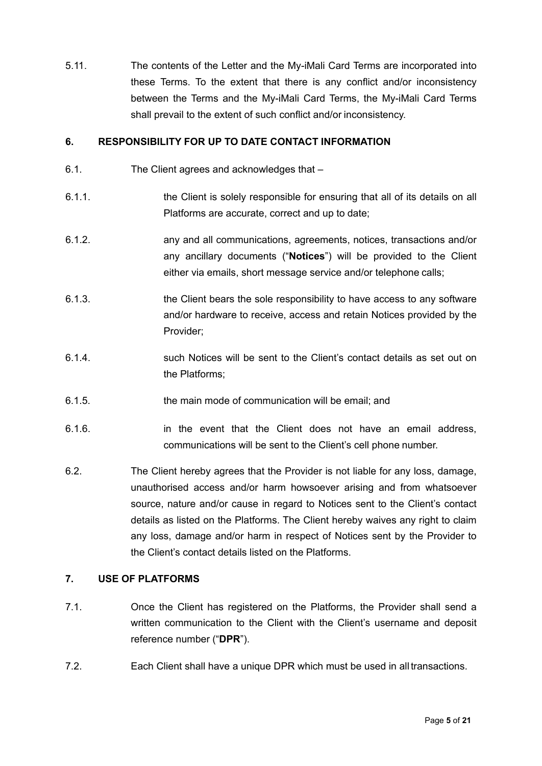5.11. The contents of the Letter and the My-iMali Card Terms are incorporated into these Terms. To the extent that there is any conflict and/or inconsistency between the Terms and the My-iMali Card Terms, the My-iMali Card Terms shall prevail to the extent of such conflict and/or inconsistency.

# **6. RESPONSIBILITY FOR UP TO DATE CONTACT INFORMATION**

- 6.1. The Client agrees and acknowledges that –
- 6.1.1. the Client is solely responsible for ensuring that all of its details on all Platforms are accurate, correct and up to date;
- 6.1.2. any and all communications, agreements, notices, transactions and/or any ancillary documents ("**Notices**") will be provided to the Client either via emails, short message service and/or telephone calls;
- 6.1.3. the Client bears the sole responsibility to have access to any software and/or hardware to receive, access and retain Notices provided by the Provider;
- 6.1.4. such Notices will be sent to the Client's contact details as set out on the Platforms;
- 6.1.5. the main mode of communication will be email; and
- 6.1.6. in the event that the Client does not have an email address, communications will be sent to the Client's cell phone number.
- 6.2. The Client hereby agrees that the Provider is not liable for any loss, damage, unauthorised access and/or harm howsoever arising and from whatsoever source, nature and/or cause in regard to Notices sent to the Client's contact details as listed on the Platforms. The Client hereby waives any right to claim any loss, damage and/or harm in respect of Notices sent by the Provider to the Client's contact details listed on the Platforms.

### **7. USE OF PLATFORMS**

- <span id="page-4-0"></span>7.1. Once the Client has registered on the Platforms, the Provider shall send a written communication to the Client with the Client's username and deposit reference number ("**DPR**").
- 7.2. Each Client shall have a unique DPR which must be used in all transactions.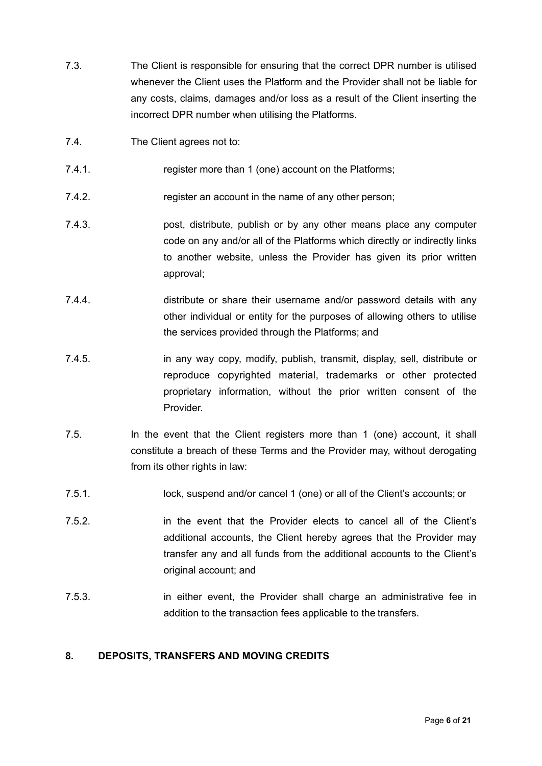- 7.3. The Client is responsible for ensuring that the correct DPR number is utilised whenever the Client uses the Platform and the Provider shall not be liable for any costs, claims, damages and/or loss as a result of the Client inserting the incorrect DPR number when utilising the Platforms.
- 7.4. The Client agrees not to:
- 7.4.1. *T.4.1.* register more than 1 (one) account on the Platforms;
- 7.4.2. register an account in the name of any other person;
- 7.4.3. post, distribute, publish or by any other means place any computer code on any and/or all of the Platforms which directly or indirectly links to another website, unless the Provider has given its prior written approval;
- 7.4.4. distribute or share their username and/or password details with any other individual or entity for the purposes of allowing others to utilise the services provided through the Platforms; and
- 7.4.5. in any way copy, modify, publish, transmit, display, sell, distribute or reproduce copyrighted material, trademarks or other protected proprietary information, without the prior written consent of the **Provider**
- 7.5. In the event that the Client registers more than 1 (one) account, it shall constitute a breach of these Terms and the Provider may, without derogating from its other rights in law:
- 7.5.1. lock, suspend and/or cancel 1 (one) or all of the Client's accounts; or
- 7.5.2. in the event that the Provider elects to cancel all of the Client's additional accounts, the Client hereby agrees that the Provider may transfer any and all funds from the additional accounts to the Client's original account; and
- 7.5.3. in either event, the Provider shall charge an administrative fee in addition to the transaction fees applicable to the transfers.

#### **8. DEPOSITS, TRANSFERS AND MOVING CREDITS**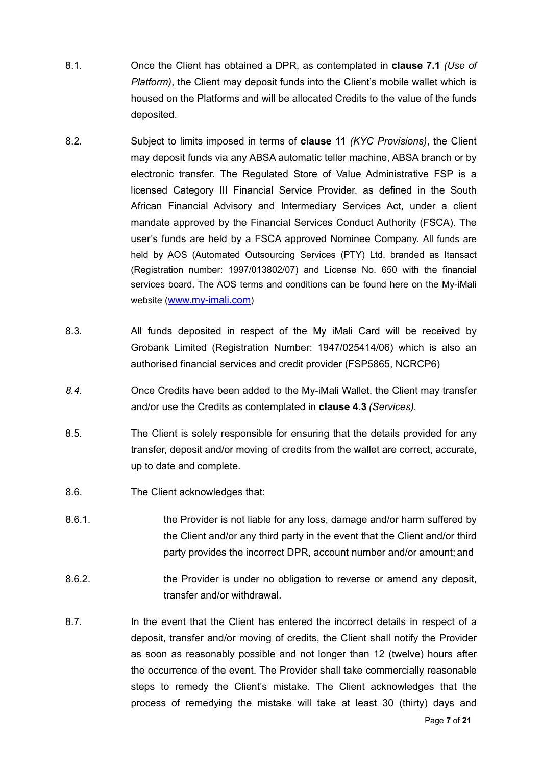- 8.1. Once the Client has obtained a DPR, as contemplated in **clause [7.1](#page-4-0)** *(Use of Platform)*, the Client may deposit funds into the Client's mobile wallet which is housed on the Platforms and will be allocated Credits to the value of the funds deposited.
- 8.2. Subject to limits imposed in terms of **clause [11](#page-10-0)** *(KYC Provisions)*, the Client may deposit funds via any ABSA automatic teller machine, ABSA branch or by electronic transfer. The Regulated Store of Value Administrative FSP is a licensed Category III Financial Service Provider, as defined in the South African Financial Advisory and Intermediary Services Act, under a client mandate approved by the Financial Services Conduct Authority (FSCA). The user's funds are held by a FSCA approved Nominee Company. All funds are held by AOS (Automated Outsourcing Services (PTY) Ltd. branded as Itansact (Registration number: 1997/013802/07) and License No. 650 with the financial services board. The AOS terms and conditions can be found here on the My-iMali website ([www.my-imali.com\)](http://www.my-imali.com)
- 8.3. All funds deposited in respect of the My iMali Card will be received by Grobank Limited (Registration Number: 1947/025414/06) which is also an authorised financial services and credit provider (FSP5865, NCRCP6)
- *8.4.* Once Credits have been added to the My-iMali Wallet, the Client may transfer and/or use the Credits as contemplated in **clause [4.3](#page-1-0)** *(Services).*
- 8.5. The Client is solely responsible for ensuring that the details provided for any transfer, deposit and/or moving of credits from the wallet are correct, accurate, up to date and complete.
- 8.6. The Client acknowledges that:
- 8.6.1. the Provider is not liable for any loss, damage and/or harm suffered by the Client and/or any third party in the event that the Client and/or third party provides the incorrect DPR, account number and/or amount; and
- 8.6.2. **the Provider is under no obligation to reverse or amend any deposit,** transfer and/or withdrawal.
- 8.7. In the event that the Client has entered the incorrect details in respect of a deposit, transfer and/or moving of credits, the Client shall notify the Provider as soon as reasonably possible and not longer than 12 (twelve) hours after the occurrence of the event. The Provider shall take commercially reasonable steps to remedy the Client's mistake. The Client acknowledges that the process of remedying the mistake will take at least 30 (thirty) days and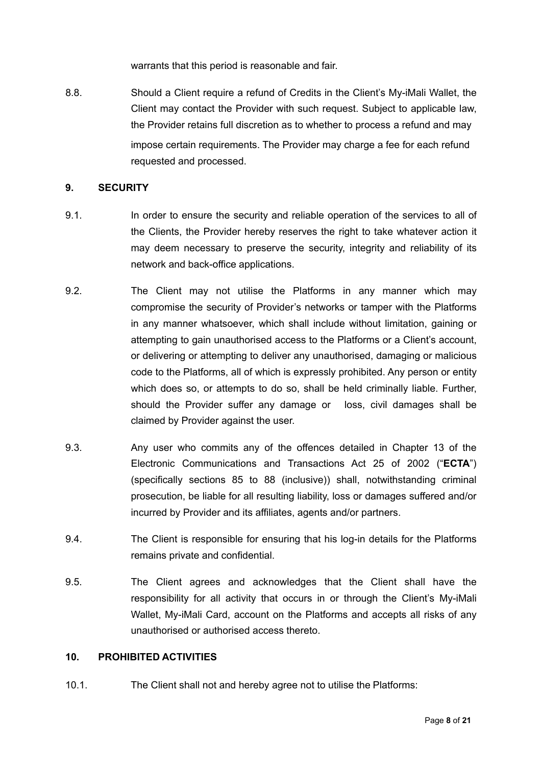warrants that this period is reasonable and fair.

8.8. Should a Client require a refund of Credits in the Client's My-iMali Wallet, the Client may contact the Provider with such request. Subject to applicable law, the Provider retains full discretion as to whether to process a refund and may impose certain requirements. The Provider may charge a fee for each refund requested and processed.

#### **9. SECURITY**

- 9.1. In order to ensure the security and reliable operation of the services to all of the Clients, the Provider hereby reserves the right to take whatever action it may deem necessary to preserve the security, integrity and reliability of its network and back-office applications.
- 9.2. The Client may not utilise the Platforms in any manner which may compromise the security of Provider's networks or tamper with the Platforms in any manner whatsoever, which shall include without limitation, gaining or attempting to gain unauthorised access to the Platforms or a Client's account, or delivering or attempting to deliver any unauthorised, damaging or malicious code to the Platforms, all of which is expressly prohibited. Any person or entity which does so, or attempts to do so, shall be held criminally liable. Further, should the Provider suffer any damage or loss, civil damages shall be claimed by Provider against the user.
- 9.3. Any user who commits any of the offences detailed in Chapter 13 of the Electronic Communications and Transactions Act 25 of 2002 ("**ECTA**") (specifically sections 85 to 88 (inclusive)) shall, notwithstanding criminal prosecution, be liable for all resulting liability, loss or damages suffered and/or incurred by Provider and its affiliates, agents and/or partners.
- 9.4. The Client is responsible for ensuring that his log-in details for the Platforms remains private and confidential.
- 9.5. The Client agrees and acknowledges that the Client shall have the responsibility for all activity that occurs in or through the Client's My-iMali Wallet, My-iMali Card, account on the Platforms and accepts all risks of any unauthorised or authorised access thereto.

# <span id="page-7-0"></span>**10. PROHIBITED ACTIVITIES**

10.1. The Client shall not and hereby agree not to utilise the Platforms: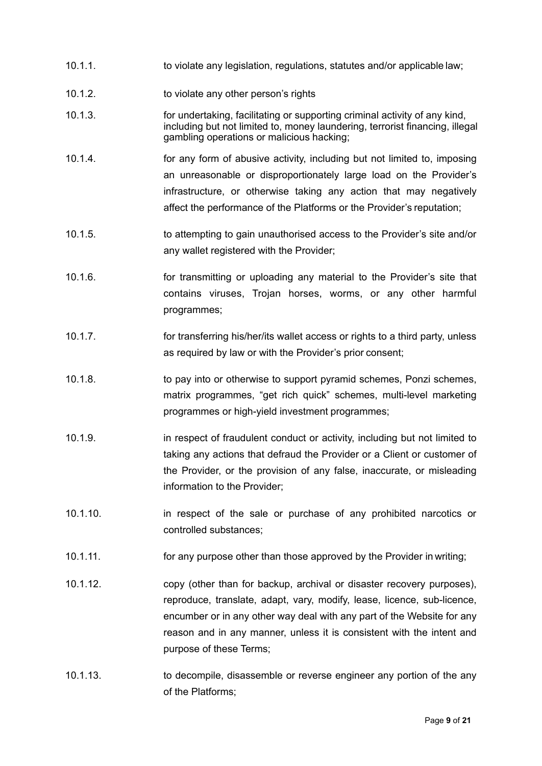- 10.1.1. to violate any legislation, regulations, statutes and/or applicable law;
- 10.1.2. to violate any other person's rights
- 10.1.3. for undertaking, facilitating or supporting criminal activity of any kind, including but not limited to, money laundering, terrorist financing, illegal gambling operations or malicious hacking;
- 10.1.4. for any form of abusive activity, including but not limited to, imposing an unreasonable or disproportionately large load on the Provider's infrastructure, or otherwise taking any action that may negatively affect the performance of the Platforms or the Provider's reputation;
- 10.1.5. to attempting to gain unauthorised access to the Provider's site and/or any wallet registered with the Provider;
- 10.1.6. for transmitting or uploading any material to the Provider's site that contains viruses, Trojan horses, worms, or any other harmful programmes;
- 10.1.7. for transferring his/her/its wallet access or rights to a third party, unless as required by law or with the Provider's prior consent;
- 10.1.8. to pay into or otherwise to support pyramid schemes, Ponzi schemes, matrix programmes, "get rich quick" schemes, multi-level marketing programmes or high-yield investment programmes;
- 10.1.9. in respect of fraudulent conduct or activity, including but not limited to taking any actions that defraud the Provider or a Client or customer of the Provider, or the provision of any false, inaccurate, or misleading information to the Provider;
- 10.1.10. in respect of the sale or purchase of any prohibited narcotics or controlled substances;
- 10.1.11. for any purpose other than those approved by the Provider in writing;
- 10.1.12. copy (other than for backup, archival or disaster recovery purposes), reproduce, translate, adapt, vary, modify, lease, licence, sub-licence, encumber or in any other way deal with any part of the Website for any reason and in any manner, unless it is consistent with the intent and purpose of these Terms;
- 10.1.13. to decompile, disassemble or reverse engineer any portion of the any of the Platforms;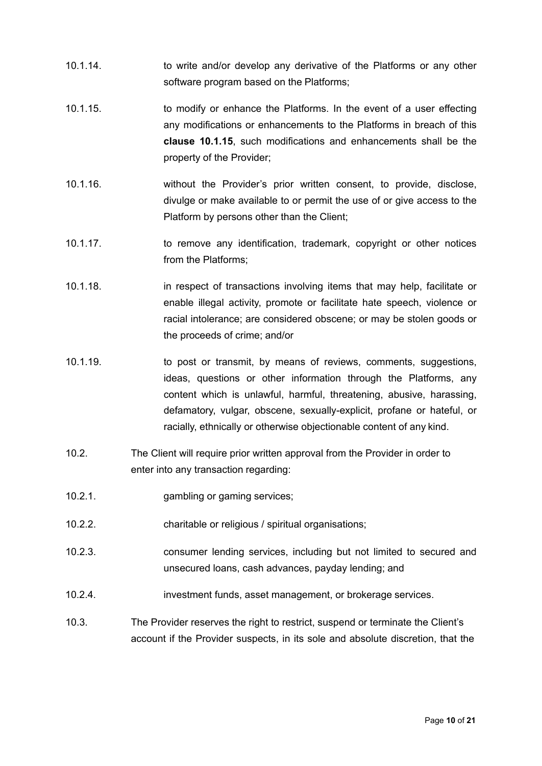- 10.1.14. to write and/or develop any derivative of the Platforms or any other software program based on the Platforms;
- <span id="page-9-0"></span>10.1.15. to modify or enhance the Platforms. In the event of a user effecting any modifications or enhancements to the Platforms in breach of this **clause [10.1.15](#page-9-0)**, such modifications and enhancements shall be the property of the Provider;
- 10.1.16. without the Provider's prior written consent, to provide, disclose, divulge or make available to or permit the use of or give access to the Platform by persons other than the Client;
- 10.1.17. to remove any identification, trademark, copyright or other notices from the Platforms;
- 10.1.18. in respect of transactions involving items that may help, facilitate or enable illegal activity, promote or facilitate hate speech, violence or racial intolerance; are considered obscene; or may be stolen goods or the proceeds of crime; and/or
- 10.1.19. to post or transmit, by means of reviews, comments, suggestions, ideas, questions or other information through the Platforms, any content which is unlawful, harmful, threatening, abusive, harassing, defamatory, vulgar, obscene, sexually-explicit, profane or hateful, or racially, ethnically or otherwise objectionable content of any kind.
- 10.2. The Client will require prior written approval from the Provider in order to enter into any transaction regarding:
- 10.2.1. gambling or gaming services;
- 10.2.2. charitable or religious / spiritual organisations;
- 10.2.3. consumer lending services, including but not limited to secured and unsecured loans, cash advances, payday lending; and
- 10.2.4. investment funds, asset management, or brokerage services.
- 10.3. The Provider reserves the right to restrict, suspend or terminate the Client's account if the Provider suspects, in its sole and absolute discretion, that the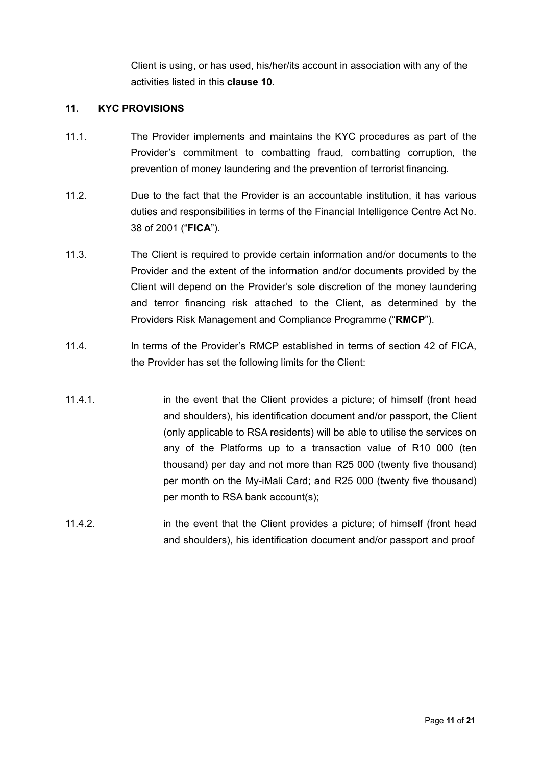Client is using, or has used, his/her/its account in association with any of the activities listed in this **clause [10](#page-7-0)**.

## <span id="page-10-0"></span>**11. KYC PROVISIONS**

- 11.1. The Provider implements and maintains the KYC procedures as part of the Provider's commitment to combatting fraud, combatting corruption, the prevention of money laundering and the prevention of terrorist financing.
- 11.2. Due to the fact that the Provider is an accountable institution, it has various duties and responsibilities in terms of the Financial Intelligence Centre Act No. 38 of 2001 ("**FICA**").
- 11.3. The Client is required to provide certain information and/or documents to the Provider and the extent of the information and/or documents provided by the Client will depend on the Provider's sole discretion of the money laundering and terror financing risk attached to the Client, as determined by the Providers Risk Management and Compliance Programme ("**RMCP**").
- 11.4. In terms of the Provider's RMCP established in terms of section 42 of FICA, the Provider has set the following limits for the Client:
- 11.4.1. in the event that the Client provides a picture; of himself (front head and shoulders), his identification document and/or passport, the Client (only applicable to RSA residents) will be able to utilise the services on any of the Platforms up to a transaction value of R10 000 (ten thousand) per day and not more than R25 000 (twenty five thousand) per month on the My-iMali Card; and R25 000 (twenty five thousand) per month to RSA bank account(s);
- 11.4.2. in the event that the Client provides a picture; of himself (front head and shoulders), his identification document and/or passport and proof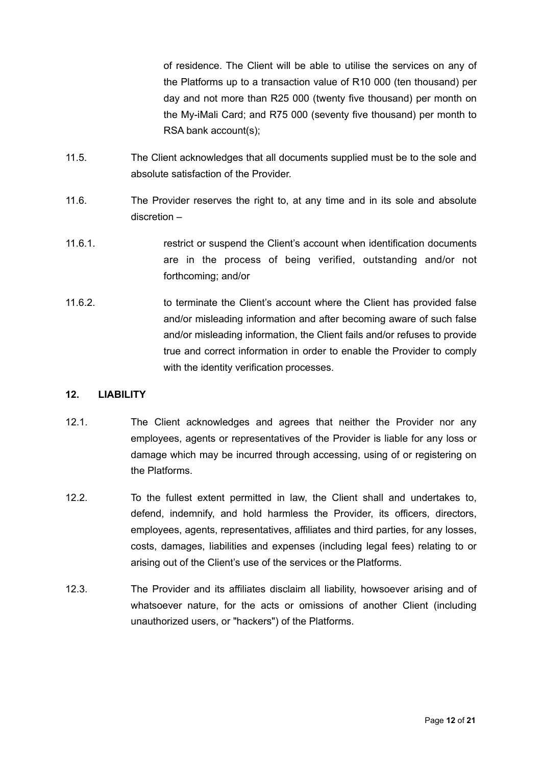of residence. The Client will be able to utilise the services on any of the Platforms up to a transaction value of R10 000 (ten thousand) per day and not more than R25 000 (twenty five thousand) per month on the My-iMali Card; and R75 000 (seventy five thousand) per month to RSA bank account(s);

- 11.5. The Client acknowledges that all documents supplied must be to the sole and absolute satisfaction of the Provider.
- 11.6. The Provider reserves the right to, at any time and in its sole and absolute discretion –
- 11.6.1. restrict or suspend the Client's account when identification documents are in the process of being verified, outstanding and/or not forthcoming; and/or
- 11.6.2. to terminate the Client's account where the Client has provided false and/or misleading information and after becoming aware of such false and/or misleading information, the Client fails and/or refuses to provide true and correct information in order to enable the Provider to comply with the identity verification processes.

#### **12. LIABILITY**

- 12.1. The Client acknowledges and agrees that neither the Provider nor any employees, agents or representatives of the Provider is liable for any loss or damage which may be incurred through accessing, using of or registering on the Platforms.
- 12.2. To the fullest extent permitted in law, the Client shall and undertakes to, defend, indemnify, and hold harmless the Provider, its officers, directors, employees, agents, representatives, affiliates and third parties, for any losses, costs, damages, liabilities and expenses (including legal fees) relating to or arising out of the Client's use of the services or the Platforms.
- 12.3. The Provider and its affiliates disclaim all liability, howsoever arising and of whatsoever nature, for the acts or omissions of another Client (including unauthorized users, or "hackers") of the Platforms.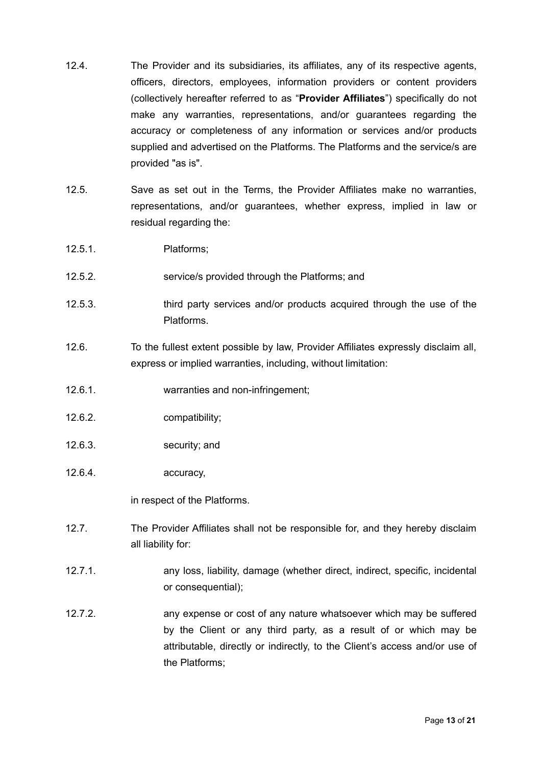- 12.4. The Provider and its subsidiaries, its affiliates, any of its respective agents, officers, directors, employees, information providers or content providers (collectively hereafter referred to as "**Provider Affiliates**") specifically do not make any warranties, representations, and/or guarantees regarding the accuracy or completeness of any information or services and/or products supplied and advertised on the Platforms. The Platforms and the service/s are provided "as is".
- 12.5. Save as set out in the Terms, the Provider Affiliates make no warranties, representations, and/or guarantees, whether express, implied in law or residual regarding the:
- 12.5.1. Platforms;
- 12.5.2. service/s provided through the Platforms; and
- 12.5.3. third party services and/or products acquired through the use of the Platforms.
- 12.6. To the fullest extent possible by law, Provider Affiliates expressly disclaim all, express or implied warranties, including, without limitation:
- 12.6.1. warranties and non-infringement;
- 12.6.2. compatibility;
- 12.6.3. security; and
- 12.6.4. accuracy,

in respect of the Platforms.

- 12.7. The Provider Affiliates shall not be responsible for, and they hereby disclaim all liability for:
- 12.7.1. any loss, liability, damage (whether direct, indirect, specific, incidental or consequential);
- 12.7.2. any expense or cost of any nature whatsoever which may be suffered by the Client or any third party, as a result of or which may be attributable, directly or indirectly, to the Client's access and/or use of the Platforms;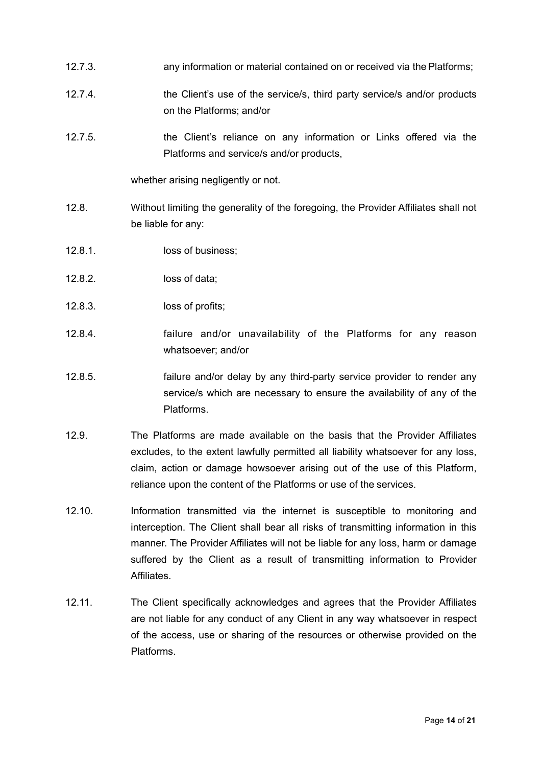- 12.7.3. any information or material contained on or received via the Platforms;
- 12.7.4. the Client's use of the service/s, third party service/s and/or products on the Platforms; and/or
- 12.7.5. the Client's reliance on any information or Links offered via the Platforms and service/s and/or products,

whether arising negligently or not.

- 12.8. Without limiting the generality of the foregoing, the Provider Affiliates shall not be liable for any:
- 12.8.1. loss of business;
- 12.8.2. loss of data;
- 12.8.3. loss of profits;
- 12.8.4. failure and/or unavailability of the Platforms for any reason whatsoever; and/or
- 12.8.5. failure and/or delay by any third-party service provider to render any service/s which are necessary to ensure the availability of any of the Platforms.
- 12.9. The Platforms are made available on the basis that the Provider Affiliates excludes, to the extent lawfully permitted all liability whatsoever for any loss, claim, action or damage howsoever arising out of the use of this Platform, reliance upon the content of the Platforms or use of the services.
- 12.10. Information transmitted via the internet is susceptible to monitoring and interception. The Client shall bear all risks of transmitting information in this manner. The Provider Affiliates will not be liable for any loss, harm or damage suffered by the Client as a result of transmitting information to Provider **Affiliates**
- 12.11. The Client specifically acknowledges and agrees that the Provider Affiliates are not liable for any conduct of any Client in any way whatsoever in respect of the access, use or sharing of the resources or otherwise provided on the Platforms.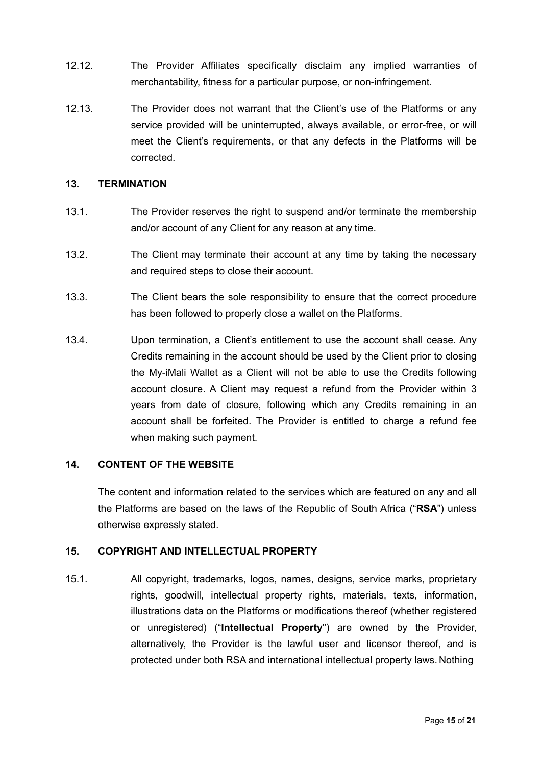- 12.12. The Provider Affiliates specifically disclaim any implied warranties of merchantability, fitness for a particular purpose, or non-infringement.
- 12.13. The Provider does not warrant that the Client's use of the Platforms or any service provided will be uninterrupted, always available, or error-free, or will meet the Client's requirements, or that any defects in the Platforms will be corrected.

## **13. TERMINATION**

- 13.1. The Provider reserves the right to suspend and/or terminate the membership and/or account of any Client for any reason at any time.
- 13.2. The Client may terminate their account at any time by taking the necessary and required steps to close their account.
- 13.3. The Client bears the sole responsibility to ensure that the correct procedure has been followed to properly close a wallet on the Platforms.
- 13.4. Upon termination, a Client's entitlement to use the account shall cease. Any Credits remaining in the account should be used by the Client prior to closing the My-iMali Wallet as a Client will not be able to use the Credits following account closure. A Client may request a refund from the Provider within 3 years from date of closure, following which any Credits remaining in an account shall be forfeited. The Provider is entitled to charge a refund fee when making such payment.

#### **14. CONTENT OF THE WEBSITE**

The content and information related to the services which are featured on any and all the Platforms are based on the laws of the Republic of South Africa ("**RSA**") unless otherwise expressly stated.

#### **15. COPYRIGHT AND INTELLECTUAL PROPERTY**

<span id="page-14-0"></span>15.1. All copyright, trademarks, logos, names, designs, service marks, proprietary rights, goodwill, intellectual property rights, materials, texts, information, illustrations data on the Platforms or modifications thereof (whether registered or unregistered) ("**Intellectual Property**") are owned by the Provider, alternatively, the Provider is the lawful user and licensor thereof, and is protected under both RSA and international intellectual property laws. Nothing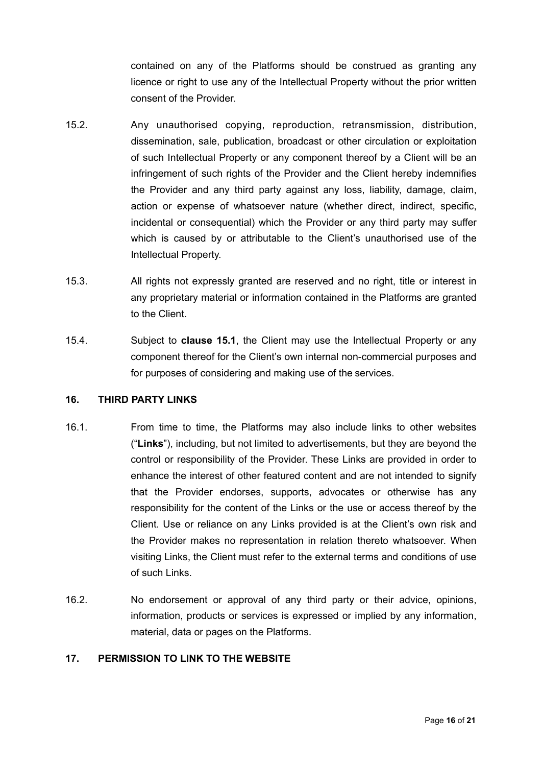contained on any of the Platforms should be construed as granting any licence or right to use any of the Intellectual Property without the prior written consent of the Provider.

- 15.2. Any unauthorised copying, reproduction, retransmission, distribution, dissemination, sale, publication, broadcast or other circulation or exploitation of such Intellectual Property or any component thereof by a Client will be an infringement of such rights of the Provider and the Client hereby indemnifies the Provider and any third party against any loss, liability, damage, claim, action or expense of whatsoever nature (whether direct, indirect, specific, incidental or consequential) which the Provider or any third party may suffer which is caused by or attributable to the Client's unauthorised use of the Intellectual Property.
- 15.3. All rights not expressly granted are reserved and no right, title or interest in any proprietary material or information contained in the Platforms are granted to the Client.
- 15.4. Subject to **clause [15.1](#page-14-0)**, the Client may use the Intellectual Property or any component thereof for the Client's own internal non-commercial purposes and for purposes of considering and making use of the services.

#### **16. THIRD PARTY LINKS**

- 16.1. From time to time, the Platforms may also include links to other websites ("**Links**"), including, but not limited to advertisements, but they are beyond the control or responsibility of the Provider. These Links are provided in order to enhance the interest of other featured content and are not intended to signify that the Provider endorses, supports, advocates or otherwise has any responsibility for the content of the Links or the use or access thereof by the Client. Use or reliance on any Links provided is at the Client's own risk and the Provider makes no representation in relation thereto whatsoever. When visiting Links, the Client must refer to the external terms and conditions of use of such Links.
- 16.2. No endorsement or approval of any third party or their advice, opinions, information, products or services is expressed or implied by any information, material, data or pages on the Platforms.

#### **17. PERMISSION TO LINK TO THE WEBSITE**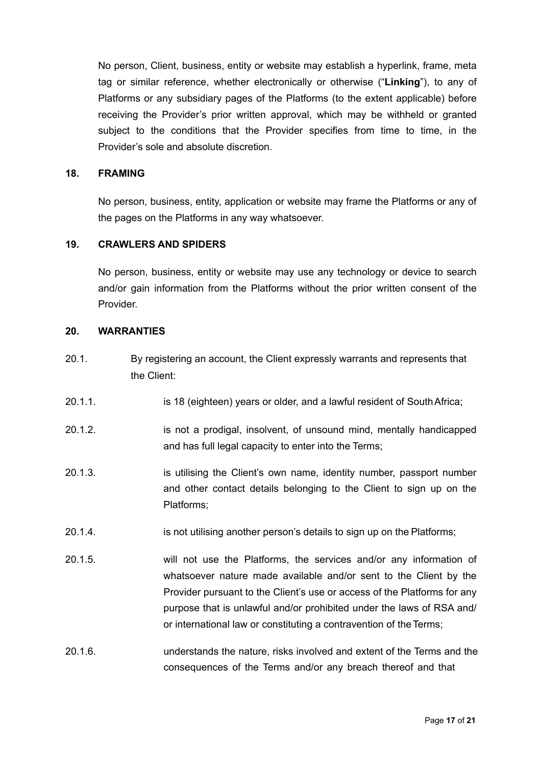No person, Client, business, entity or website may establish a hyperlink, frame, meta tag or similar reference, whether electronically or otherwise ("**Linking**"), to any of Platforms or any subsidiary pages of the Platforms (to the extent applicable) before receiving the Provider's prior written approval, which may be withheld or granted subject to the conditions that the Provider specifies from time to time, in the Provider's sole and absolute discretion.

#### **18. FRAMING**

No person, business, entity, application or website may frame the Platforms or any of the pages on the Platforms in any way whatsoever.

### **19. CRAWLERS AND SPIDERS**

No person, business, entity or website may use any technology or device to search and/or gain information from the Platforms without the prior written consent of the Provider.

#### **20. WARRANTIES**

- 20.1. By registering an account, the Client expressly warrants and represents that the Client:
- 20.1.1. is 18 (eighteen) years or older, and a lawful resident of SouthAfrica;
- 20.1.2. is not a prodigal, insolvent, of unsound mind, mentally handicapped and has full legal capacity to enter into the Terms;
- 20.1.3. is utilising the Client's own name, identity number, passport number and other contact details belonging to the Client to sign up on the Platforms;
- 20.1.4. is not utilising another person's details to sign up on the Platforms;
- 20.1.5. will not use the Platforms, the services and/or any information of whatsoever nature made available and/or sent to the Client by the Provider pursuant to the Client's use or access of the Platforms for any purpose that is unlawful and/or prohibited under the laws of RSA and/ or international law or constituting a contravention of the Terms;
- 20.1.6. understands the nature, risks involved and extent of the Terms and the consequences of the Terms and/or any breach thereof and that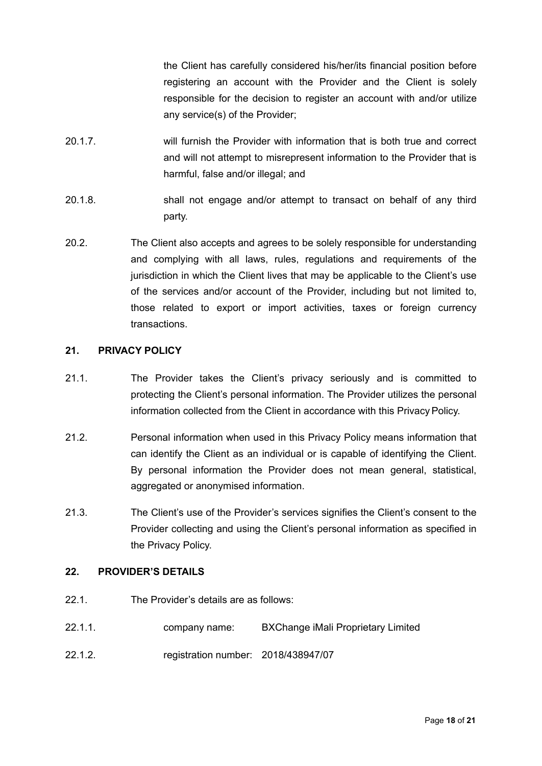the Client has carefully considered his/her/its financial position before registering an account with the Provider and the Client is solely responsible for the decision to register an account with and/or utilize any service(s) of the Provider;

- 20.1.7. will furnish the Provider with information that is both true and correct and will not attempt to misrepresent information to the Provider that is harmful, false and/or illegal; and
- 20.1.8. shall not engage and/or attempt to transact on behalf of any third party.
- 20.2. The Client also accepts and agrees to be solely responsible for understanding and complying with all laws, rules, regulations and requirements of the jurisdiction in which the Client lives that may be applicable to the Client's use of the services and/or account of the Provider, including but not limited to, those related to export or import activities, taxes or foreign currency transactions.

# **21. PRIVACY POLICY**

- 21.1. The Provider takes the Client's privacy seriously and is committed to protecting the Client's personal information. The Provider utilizes the personal information collected from the Client in accordance with this Privacy Policy.
- 21.2. Personal information when used in this Privacy Policy means information that can identify the Client as an individual or is capable of identifying the Client. By personal information the Provider does not mean general, statistical, aggregated or anonymised information.
- 21.3. The Client's use of the Provider's services signifies the Client's consent to the Provider collecting and using the Client's personal information as specified in the Privacy Policy.

## **22. PROVIDER'S DETAILS**

- 22.1. The Provider's details are as follows:
- 22.1.1. company name: BXChange iMali Proprietary Limited
- 22.1.2. registration number: 2018/438947/07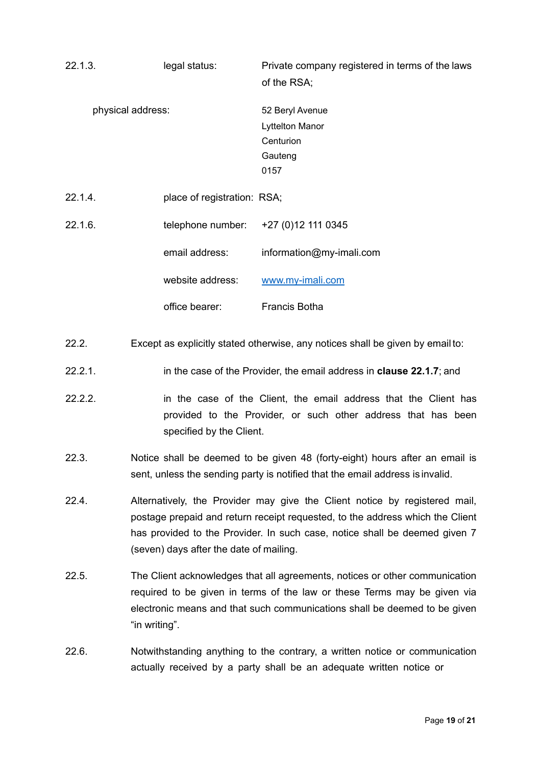<span id="page-18-0"></span>

| 22.1.3. | legal status:                                                                                                                                                                                                                                                                        | Private company registered in terms of the laws<br>of the RSA;            |
|---------|--------------------------------------------------------------------------------------------------------------------------------------------------------------------------------------------------------------------------------------------------------------------------------------|---------------------------------------------------------------------------|
|         | physical address:                                                                                                                                                                                                                                                                    | 52 Beryl Avenue<br><b>Lyttelton Manor</b><br>Centurion<br>Gauteng<br>0157 |
| 22.1.4. | place of registration: RSA;                                                                                                                                                                                                                                                          |                                                                           |
| 22.1.6. | telephone number:                                                                                                                                                                                                                                                                    | +27 (0) 12 111 0345                                                       |
|         | email address:                                                                                                                                                                                                                                                                       | information@my-imali.com                                                  |
|         | website address:                                                                                                                                                                                                                                                                     | www.my-imali.com                                                          |
|         | office bearer:                                                                                                                                                                                                                                                                       | Francis Botha                                                             |
| 22.2.   | Except as explicitly stated otherwise, any notices shall be given by email to:                                                                                                                                                                                                       |                                                                           |
| 22.2.1. | in the case of the Provider, the email address in <b>clause 22.1.7</b> ; and                                                                                                                                                                                                         |                                                                           |
| 22.2.2. | in the case of the Client, the email address that the Client has<br>provided to the Provider, or such other address that has been<br>specified by the Client.                                                                                                                        |                                                                           |
| 22.3.   | Notice shall be deemed to be given 48 (forty-eight) hours after an email is<br>sent, unless the sending party is notified that the email address is invalid.                                                                                                                         |                                                                           |
| 22.4.   | Alternatively, the Provider may give the Client notice by registered mail,<br>postage prepaid and return receipt requested, to the address which the Client<br>has provided to the Provider. In such case, notice shall be deemed given 7<br>(seven) days after the date of mailing. |                                                                           |
| 22.5.   | The Client acknowledges that all agreements, notices or other communication<br>required to be given in terms of the law or these Terms may be given via<br>electronic means and that such communications shall be deemed to be given<br>"in writing".                                |                                                                           |
| 22.6.   | Notwithstanding anything to the contrary, a written notice or communication<br>actually received by a party shall be an adequate written notice or                                                                                                                                   |                                                                           |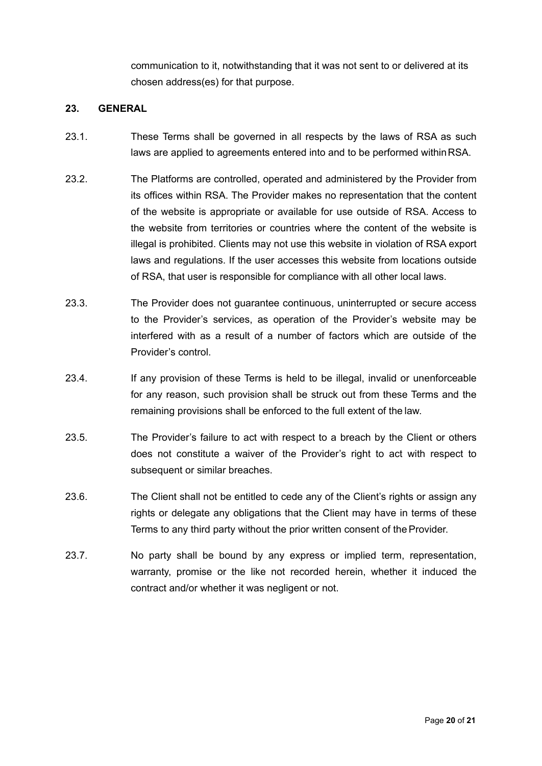communication to it, notwithstanding that it was not sent to or delivered at its chosen address(es) for that purpose.

## **23. GENERAL**

- 23.1. These Terms shall be governed in all respects by the laws of RSA as such laws are applied to agreements entered into and to be performed withinRSA.
- 23.2. The Platforms are controlled, operated and administered by the Provider from its offices within RSA. The Provider makes no representation that the content of the website is appropriate or available for use outside of RSA. Access to the website from territories or countries where the content of the website is illegal is prohibited. Clients may not use this website in violation of RSA export laws and regulations. If the user accesses this website from locations outside of RSA, that user is responsible for compliance with all other local laws.
- 23.3. The Provider does not guarantee continuous, uninterrupted or secure access to the Provider's services, as operation of the Provider's website may be interfered with as a result of a number of factors which are outside of the Provider's control.
- 23.4. If any provision of these Terms is held to be illegal, invalid or unenforceable for any reason, such provision shall be struck out from these Terms and the remaining provisions shall be enforced to the full extent of the law.
- 23.5. The Provider's failure to act with respect to a breach by the Client or others does not constitute a waiver of the Provider's right to act with respect to subsequent or similar breaches.
- 23.6. The Client shall not be entitled to cede any of the Client's rights or assign any rights or delegate any obligations that the Client may have in terms of these Terms to any third party without the prior written consent of the Provider.
- 23.7. No party shall be bound by any express or implied term, representation, warranty, promise or the like not recorded herein, whether it induced the contract and/or whether it was negligent or not.